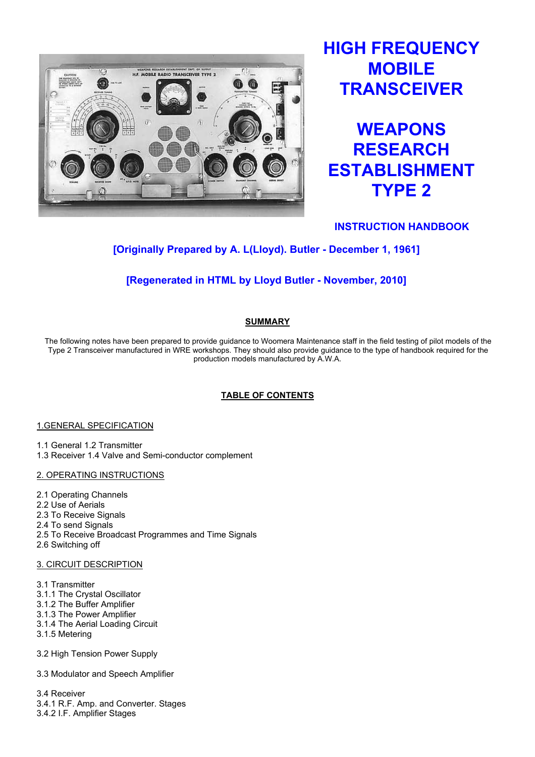

# HIGH FREQUENCY **MOBILE TRANSCEIVER**



INSTRUCTION HANDBOOK

## [Originally Prepared by A. L(Lloyd). Butler - December 1, 1961]

## [Regenerated in HTML by Lloyd Butler - November, 2010]

## SUMMARY

The following notes have been prepared to provide guidance to Woomera Maintenance staff in the field testing of pilot models of the Type 2 Transceiver manufactured in WRE workshops. They should also provide guidance to the type of handbook required for the production models manufactured by A.W.A.

## TABLE OF CONTENTS

## 1.GENERAL SPECIFICATION

1.1 General 1.2 Transmitter

1.3 Receiver 1.4 Valve and Semi-conductor complement

## 2. OPERATING INSTRUCTIONS

- 2.1 Operating Channels
- 2.2 Use of Aerials
- 2.3 To Receive Signals
- 2.4 To send Signals
- 2.5 To Receive Broadcast Programmes and Time Signals
- 2.6 Switching off

## 3. CIRCUIT DESCRIPTION

- 3.1 Transmitter
- 3.1.1 The Crystal Oscillator
- 3.1.2 The Buffer Amplifier
- 3.1.3 The Power Amplifier
- 3.1.4 The Aerial Loading Circuit
- 3.1.5 Metering
- 3.2 High Tension Power Supply
- 3.3 Modulator and Speech Amplifier

3.4 Receiver 3.4.1 R.F. Amp. and Converter. Stages 3.4.2 I.F. Amplifier Stages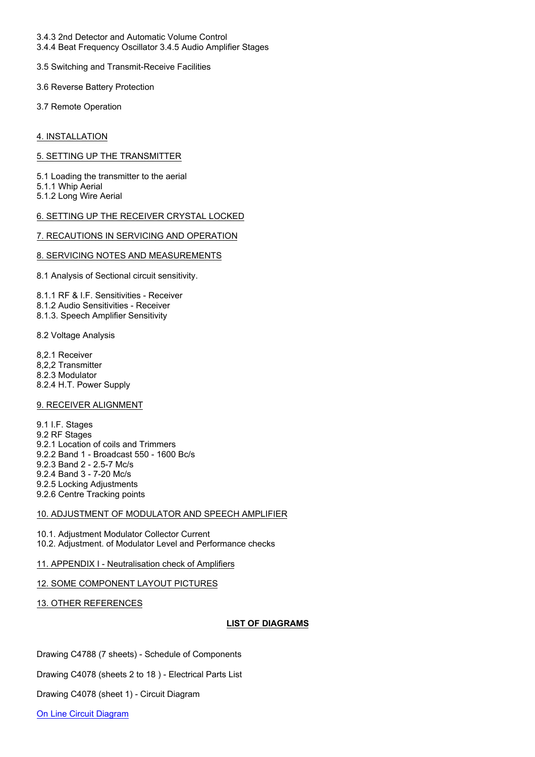- 3.4.3 2nd Detector and Automatic Volume Control
- 3.4.4 Beat Frequency Oscillator 3.4.5 Audio Amplifier Stages
- 3.5 Switching and Transmit-Receive Facilities
- 3.6 Reverse Battery Protection
- 3.7 Remote Operation

4. INSTALLATION

5. SETTING UP THE TRANSMITTER

5.1 Loading the transmitter to the aerial 5.1.1 Whip Aerial 5.1.2 Long Wire Aerial

#### 6. SETTING UP THE RECEIVER CRYSTAL LOCKED

#### 7. RECAUTIONS IN SERVICING AND OPERATION

#### 8. SERVICING NOTES AND MEASUREMENTS

8.1 Analysis of Sectional circuit sensitivity.

8.1.1 RF & I.F. Sensitivities - Receiver 8.1.2 Audio Sensitivities - Receiver 8.1.3. Speech Amplifier Sensitivity

#### 8.2 Voltage Analysis

8,2.1 Receiver 8,2,2 Transmitter 8.2.3 Modulator 8.2.4 H.T. Power Supply

#### 9. RECEIVER ALIGNMENT

9.1 I.F. Stages 9.2 RF Stages 9.2.1 Location of coils and Trimmers 9.2.2 Band 1 - Broadcast 550 - 1600 Bc/s 9.2.3 Band 2 - 2.5-7 Mc/s 9.2.4 Band 3 - 7-20 Mc/s 9.2.5 Locking Adjustments 9.2.6 Centre Tracking points

#### 10. ADJUSTMENT OF MODULATOR AND SPEECH AMPLIFIER

10.1. Adjustment Modulator Collector Current 10.2. Adjustment. of Modulator Level and Performance checks

#### 11. APPENDIX I - Neutralisation check of Amplifiers

#### 12. SOME COMPONENT LAYOUT PICTURES

#### 13. OTHER REFERENCES

#### LIST OF DIAGRAMS

Drawing C4788 (7 sheets) - Schedule of Components

Drawing C4078 (sheets 2 to 18 ) - Electrical Parts List

Drawing C4078 (sheet 1) - Circuit Diagram

On Line Circuit Diagram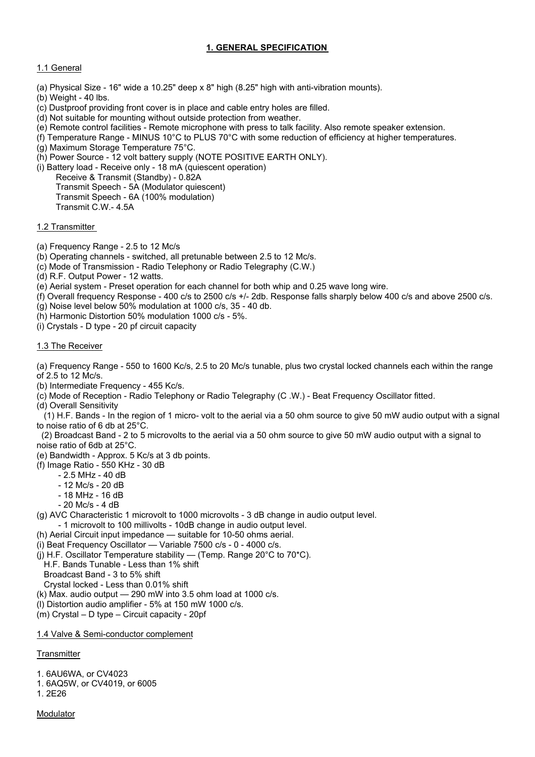## 1. GENERAL SPECIFICATION

## 1.1 General

- (a) Physical Size 16" wide a 10.25" deep x 8" high (8.25" high with anti-vibration mounts).
- (b) Weight 40 lbs.
- (c) Dustproof providing front cover is in place and cable entry holes are filled.
- (d) Not suitable for mounting without outside protection from weather.
- (e) Remote control facilities Remote microphone with press to talk facility. Also remote speaker extension.
- (f) Temperature Range MINUS 10°C to PLUS 70°C with some reduction of efficiency at higher temperatures.
- (g) Maximum Storage Temperature 75°C.

(h) Power Source - 12 volt battery supply (NOTE POSITIVE EARTH ONLY).

- (i) Battery load Receive only 18 mA (quiescent operation)
	- Receive & Transmit (Standby) 0.82A Transmit Speech - 5A (Modulator quiescent) Transmit Speech - 6A (100% modulation) Transmit C.W.- 4.5A

1.2 Transmitter

- (a) Frequency Range 2.5 to 12 Mc/s
- (b) Operating channels switched, all pretunable between 2.5 to 12 Mc/s.
- (c) Mode of Transmission Radio Telephony or Radio Telegraphy (C.W.)
- (d) R.F. Output Power 12 watts.
- (e) Aerial system Preset operation for each channel for both whip and 0.25 wave long wire.
- (f) Overall frequency Response 400 c/s to 2500 c/s +/- 2db. Response falls sharply below 400 c/s and above 2500 c/s.
- (g) Noise level below 50% modulation at 1000 c/s, 35 40 db.
- (h) Harmonic Distortion 50% modulation 1000 c/s 5%.
- (i) Crystals D type 20 pf circuit capacity

## 1.3 The Receiver

(a) Frequency Range - 550 to 1600 Kc/s, 2.5 to 20 Mc/s tunable, plus two crystal locked channels each within the range of 2.5 to 12 Mc/s.

- (b) Intermediate Frequency 455 Kc/s.
- (c) Mode of Reception Radio Telephony or Radio Telegraphy (C .W.) Beat Frequency Oscillator fitted.
- (d) Overall Sensitivity

 (1) H.F. Bands - In the region of 1 micro- volt to the aerial via a 50 ohm source to give 50 mW audio output with a signal to noise ratio of 6 db at 25°C.

 (2) Broadcast Band - 2 to 5 microvolts to the aerial via a 50 ohm source to give 50 mW audio output with a signal to noise ratio of 6db at 25°C.

- (e) Bandwidth Approx. 5 Kc/s at 3 db points.
- (f) Image Ratio 550 KHz 30 dB
	- 2.5 MHz 40 dB
	- 12 Mc/s 20 dB
	- 18 MHz 16 dB
	- 20 Mc/s 4 dB
- (g) AVC Characteristic 1 microvolt to 1000 microvolts 3 dB change in audio output level.
	- 1 microvolt to 100 millivolts 10dB change in audio output level.
- (h) Aerial Circuit input impedance suitable for 10-50 ohms aerial.
- (i) Beat Frequency Oscillator Variable 7500 c/s 0 4000 c/s.
- (i) H.F. Oscillator Temperature stability (Temp. Range 20 $^{\circ}$ C to 70 $^{\star}$ C).
- H.F. Bands Tunable Less than 1% shift
- Broadcast Band 3 to 5% shift
- Crystal locked Less than 0.01% shift
- (k) Max. audio output 290 mW into 3.5 ohm load at 1000 c/s.
- (l) Distortion audio amplifier 5% at 150 mW 1000 c/s.
- (m) Crystal D type Circuit capacity 20pf

## 1.4 Valve & Semi-conductor complement

## **Transmitter**

1. 6AU6WA, or CV4023

- 1. 6AQ5W, or CV4019, or 6005
- 1. 2E26

#### Modulator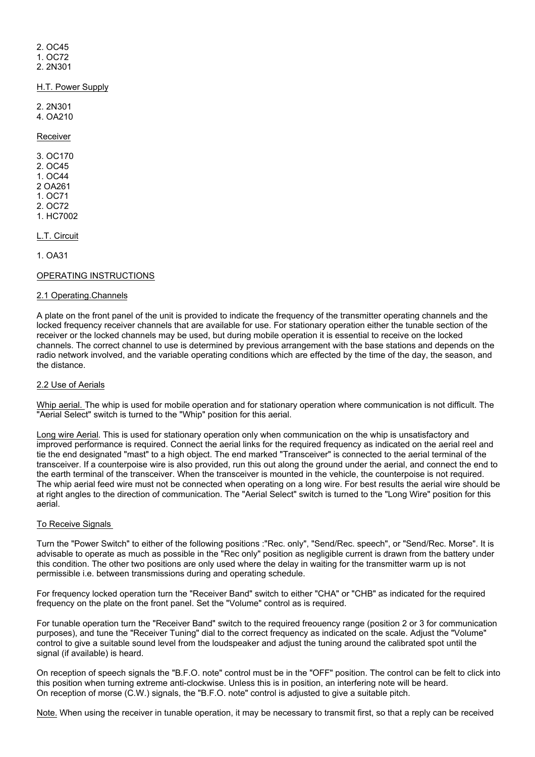2. OC45 1. OC72 2. 2N301

H.T. Power Supply

2. 2N301 4. OA210

Receiver

3. OC170 2. OC45 1. OC44 2 OA261 1. OC71 2. OC72 1. HC7002

L.T. Circuit

1. OA31

#### OPERATING INSTRUCTIONS

#### 2.1 Operating.Channels

A plate on the front panel of the unit is provided to indicate the frequency of the transmitter operating channels and the locked frequency receiver channels that are available for use. For stationary operation either the tunable section of the receiver or the locked channels may be used, but during mobile operation it is essential to receive on the locked channels. The correct channel to use is determined by previous arrangement with the base stations and depends on the radio network involved, and the variable operating conditions which are effected by the time of the day, the season, and the distance.

#### 2.2 Use of Aerials

Whip aerial. The whip is used for mobile operation and for stationary operation where communication is not difficult. The "Aerial Select" switch is turned to the "Whip" position for this aerial.

Long wire Aerial. This is used for stationary operation only when communication on the whip is unsatisfactory and improved performance is required. Connect the aerial links for the required frequency as indicated on the aerial reel and tie the end designated "mast" to a high object. The end marked "Transceiver" is connected to the aerial terminal of the transceiver. If a counterpoise wire is also provided, run this out along the ground under the aerial, and connect the end to the earth terminal of the transceiver. When the transceiver is mounted in the vehicle, the counterpoise is not required. The whip aerial feed wire must not be connected when operating on a long wire. For best results the aerial wire should be at right angles to the direction of communication. The "Aerial Select" switch is turned to the "Long Wire" position for this aerial.

#### To Receive Signals

Turn the "Power Switch" to either of the following positions :"Rec. only", "Send/Rec. speech", or "Send/Rec. Morse". It is advisable to operate as much as possible in the "Rec only" position as negligible current is drawn from the battery under this condition. The other two positions are only used where the delay in waiting for the transmitter warm up is not permissible i.e. between transmissions during and operating schedule.

For frequency locked operation turn the "Receiver Band" switch to either "CHA" or "CHB" as indicated for the required frequency on the plate on the front panel. Set the "Volume" control as is required.

For tunable operation turn the "Receiver Band" switch to the required freouency range (position 2 or 3 for communication purposes), and tune the "Receiver Tuning" dial to the correct frequency as indicated on the scale. Adjust the "Volume" control to give a suitable sound level from the loudspeaker and adjust the tuning around the calibrated spot until the signal (if available) is heard.

On reception of speech signals the "B.F.O. note" control must be in the "OFF" position. The control can be felt to click into this position when turning extreme anti-clockwise. Unless this is in position, an interfering note will be heard. On reception of morse (C.W.) signals, the "B.F.O. note" control is adjusted to give a suitable pitch.

Note. When using the receiver in tunable operation, it may be necessary to transmit first, so that a reply can be received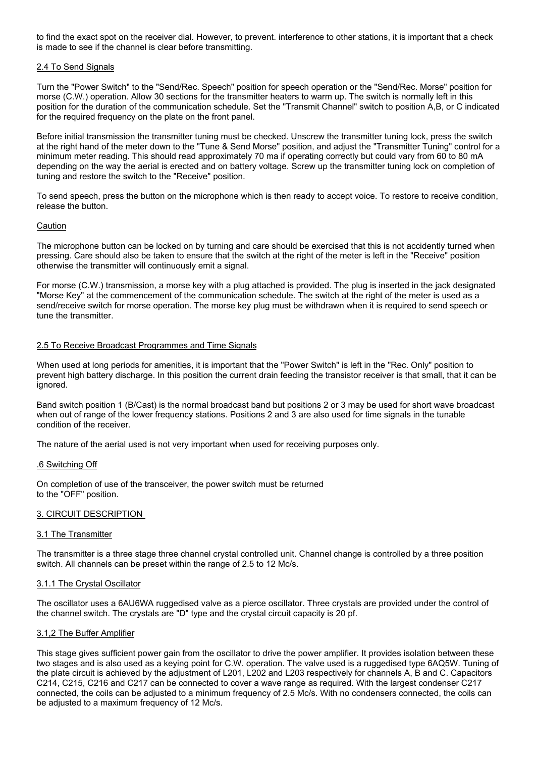to find the exact spot on the receiver dial. However, to prevent. interference to other stations, it is important that a check is made to see if the channel is clear before transmitting.

#### 2.4 To Send Signals

Turn the "Power Switch" to the "Send/Rec. Speech" position for speech operation or the "Send/Rec. Morse" position for morse (C.W.) operation. Allow 30 sections for the transmitter heaters to warm up. The switch is normally left in this position for the duration of the communication schedule. Set the "Transmit Channel" switch to position A,B, or C indicated for the required frequency on the plate on the front panel.

Before initial transmission the transmitter tuning must be checked. Unscrew the transmitter tuning lock, press the switch at the right hand of the meter down to the "Tune & Send Morse" position, and adjust the "Transmitter Tuning" control for a minimum meter reading. This should read approximately 70 ma if operating correctly but could vary from 60 to 80 mA depending on the way the aerial is erected and on battery voltage. Screw up the transmitter tuning lock on completion of tuning and restore the switch to the "Receive" position.

To send speech, press the button on the microphone which is then ready to accept voice. To restore to receive condition, release the button.

#### Caution

The microphone button can be locked on by turning and care should be exercised that this is not accidently turned when pressing. Care should also be taken to ensure that the switch at the right of the meter is left in the "Receive" position otherwise the transmitter will continuously emit a signal.

For morse (C.W.) transmission, a morse key with a plug attached is provided. The plug is inserted in the jack designated "Morse Key" at the commencement of the communication schedule. The switch at the right of the meter is used as a send/receive switch for morse operation. The morse key plug must be withdrawn when it is required to send speech or tune the transmitter.

#### 2.5 To Receive Broadcast Programmes and Time Signals

When used at long periods for amenities, it is important that the "Power Switch" is left in the "Rec. Only" position to prevent high battery discharge. In this position the current drain feeding the transistor receiver is that small, that it can be ignored.

Band switch position 1 (B/Cast) is the normal broadcast band but positions 2 or 3 may be used for short wave broadcast when out of range of the lower frequency stations. Positions 2 and 3 are also used for time signals in the tunable condition of the receiver.

The nature of the aerial used is not very important when used for receiving purposes only.

#### .6 Switching Off

On completion of use of the transceiver, the power switch must be returned to the "OFF" position.

#### 3. CIRCUIT DESCRIPTION

#### 3.1 The Transmitter

The transmitter is a three stage three channel crystal controlled unit. Channel change is controlled by a three position switch. All channels can be preset within the range of 2.5 to 12 Mc/s.

#### 3.1.1 The Crystal Oscillator

The oscillator uses a 6AU6WA ruggedised valve as a pierce oscillator. Three crystals are provided under the control of the channel switch. The crystals are "D" type and the crystal circuit capacity is 20 pf.

#### 3.1,2 The Buffer Amplifier

This stage gives sufficient power gain from the oscillator to drive the power amplifier. It provides isolation between these two stages and is also used as a keying point for C.W. operation. The valve used is a ruggedised type 6AQ5W. Tuning of the plate circuit is achieved by the adjustment of L201, L202 and L203 respectively for channels A, B and C. Capacitors C214, C215, C216 and C217 can be connected to cover a wave range as required. With the largest condenser C217 connected, the coils can be adjusted to a minimum frequency of 2.5 Mc/s. With no condensers connected, the coils can be adjusted to a maximum frequency of 12 Mc/s.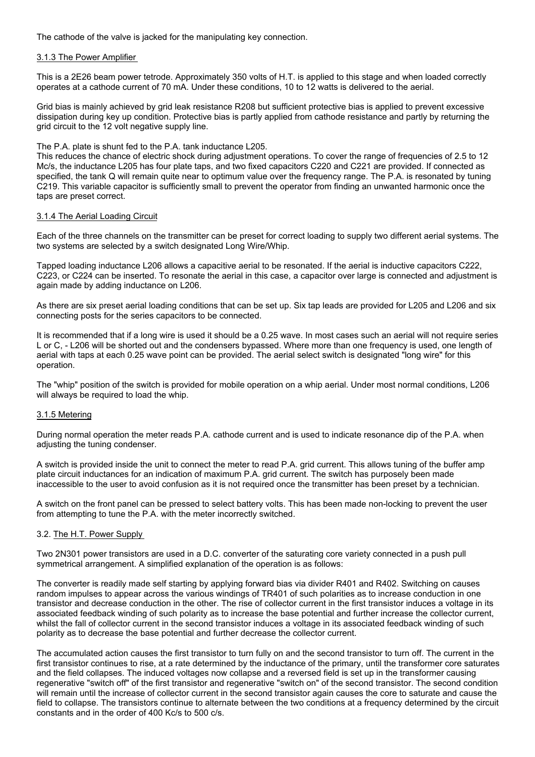The cathode of the valve is jacked for the manipulating key connection.

#### 3.1.3 The Power Amplifier

This is a 2E26 beam power tetrode. Approximately 350 volts of H.T. is applied to this stage and when loaded correctly operates at a cathode current of 70 mA. Under these conditions, 10 to 12 watts is delivered to the aerial.

Grid bias is mainly achieved by grid leak resistance R208 but sufficient protective bias is applied to prevent excessive dissipation during key up condition. Protective bias is partly applied from cathode resistance and partly by returning the grid circuit to the 12 volt negative supply line.

The P.A. plate is shunt fed to the P.A. tank inductance L205.

This reduces the chance of electric shock during adjustment operations. To cover the range of frequencies of 2.5 to 12 Mc/s, the inductance L205 has four plate taps, and two fixed capacitors C220 and C221 are provided. If connected as specified, the tank Q will remain quite near to optimum value over the frequency range. The P.A. is resonated by tuning C219. This variable capacitor is sufficiently small to prevent the operator from finding an unwanted harmonic once the taps are preset correct.

#### 3.1.4 The Aerial Loading Circuit

Each of the three channels on the transmitter can be preset for correct loading to supply two different aerial systems. The two systems are selected by a switch designated Long Wire/Whip.

Tapped loading inductance L206 allows a capacitive aerial to be resonated. If the aerial is inductive capacitors C222, C223, or C224 can be inserted. To resonate the aerial in this case, a capacitor over large is connected and adjustment is again made by adding inductance on L206.

As there are six preset aerial loading conditions that can be set up. Six tap leads are provided for L205 and L206 and six connecting posts for the series capacitors to be connected.

It is recommended that if a long wire is used it should be a 0.25 wave. In most cases such an aerial will not require series L or C, - L206 will be shorted out and the condensers bypassed. Where more than one frequency is used, one length of aerial with taps at each 0.25 wave point can be provided. The aerial select switch is designated "long wire" for this operation.

The "whip" position of the switch is provided for mobile operation on a whip aerial. Under most normal conditions, L206 will always be required to load the whip.

#### 3.1.5 Metering

During normal operation the meter reads P.A. cathode current and is used to indicate resonance dip of the P.A. when adjusting the tuning condenser.

A switch is provided inside the unit to connect the meter to read P.A. grid current. This allows tuning of the buffer amp plate circuit inductances for an indication of maximum P.A. grid current. The switch has purposely been made inaccessible to the user to avoid confusion as it is not required once the transmitter has been preset by a technician.

A switch on the front panel can be pressed to select battery volts. This has been made non-locking to prevent the user from attempting to tune the P.A. with the meter incorrectly switched.

#### 3.2. The H.T. Power Supply

Two 2N301 power transistors are used in a D.C. converter of the saturating core variety connected in a push pull symmetrical arrangement. A simplified explanation of the operation is as follows:

The converter is readily made self starting by applying forward bias via divider R401 and R402. Switching on causes random impulses to appear across the various windings of TR401 of such polarities as to increase conduction in one transistor and decrease conduction in the other. The rise of collector current in the first transistor induces a voltage in its associated feedback winding of such polarity as to increase the base potential and further increase the collector current, whilst the fall of collector current in the second transistor induces a voltage in its associated feedback winding of such polarity as to decrease the base potential and further decrease the collector current.

The accumulated action causes the first transistor to turn fully on and the second transistor to turn off. The current in the first transistor continues to rise, at a rate determined by the inductance of the primary, until the transformer core saturates and the field collapses. The induced voltages now collapse and a reversed field is set up in the transformer causing regenerative "switch off" of the first transistor and regenerative "switch on" of the second transistor. The second condition will remain until the increase of collector current in the second transistor again causes the core to saturate and cause the field to collapse. The transistors continue to alternate between the two conditions at a frequency determined by the circuit constants and in the order of 400 Kc/s to 500 c/s.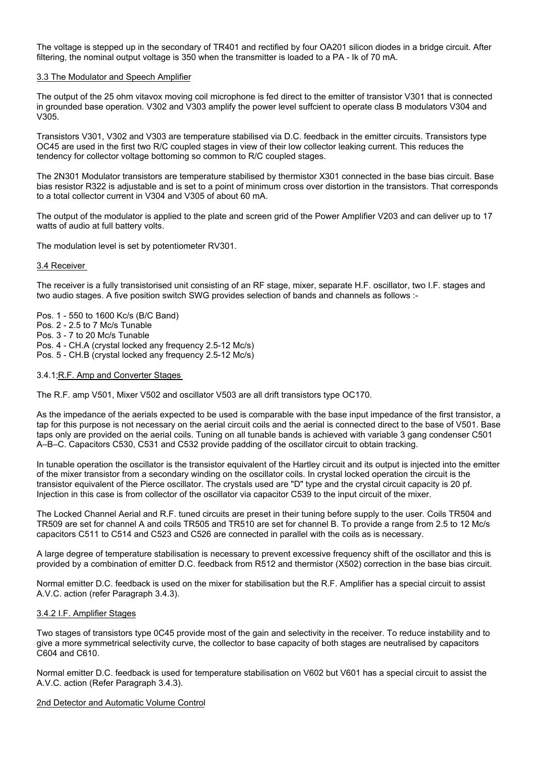The voltage is stepped up in the secondary of TR401 and rectified by four OA201 silicon diodes in a bridge circuit. After filtering, the nominal output voltage is 350 when the transmitter is loaded to a PA - Ik of 70 mA.

#### 3.3 The Modulator and Speech Amplifier

The output of the 25 ohm vitavox moving coil microphone is fed direct to the emitter of transistor V301 that is connected in grounded base operation. V302 and V303 amplify the power level suffcient to operate class B modulators V304 and V305.

Transistors V301, V302 and V303 are temperature stabilised via D.C. feedback in the emitter circuits. Transistors type OC45 are used in the first two R/C coupled stages in view of their low collector leaking current. This reduces the tendency for collector voltage bottoming so common to R/C coupled stages.

The 2N301 Modulator transistors are temperature stabilised by thermistor X301 connected in the base bias circuit. Base bias resistor R322 is adjustable and is set to a point of minimum cross over distortion in the transistors. That corresponds to a total collector current in V304 and V305 of about 60 mA.

The output of the modulator is applied to the plate and screen grid of the Power Amplifier V203 and can deliver up to 17 watts of audio at full battery volts.

The modulation level is set by potentiometer RV301.

#### 3.4 Receiver

The receiver is a fully transistorised unit consisting of an RF stage, mixer, separate H.F. oscillator, two I.F. stages and two audio stages. A five position switch SWG provides selection of bands and channels as follows :-

Pos. 1 - 550 to 1600 Kc/s (B/C Band)

- Pos. 2 2.5 to 7 Mc/s Tunable
- Pos. 3 7 to 20 Mc/s Tunable

Pos. 4 - CH.A (crystal locked any frequency 2.5-12 Mc/s)

Pos. 5 - CH.B (crystal locked any frequency 2.5-12 Mc/s)

#### 3.4.1;R.F. Amp and Converter Stages

The R.F. amp V501, Mixer V502 and oscillator V503 are all drift transistors type OC170.

As the impedance of the aerials expected to be used is comparable with the base input impedance of the first transistor, a tap for this purpose is not necessary on the aerial circuit coils and the aerial is connected direct to the base of V501. Base taps only are provided on the aerial coils. Tuning on all tunable bands is achieved with variable 3 gang condenser C501 A–B–C. Capacitors C530, C531 and C532 provide padding of the oscillator circuit to obtain tracking.

In tunable operation the oscillator is the transistor equivalent of the Hartley circuit and its output is injected into the emitter of the mixer transistor from a secondary winding on the oscillator coils. In crystal locked operation the circuit is the transistor equivalent of the Pierce oscillator. The crystals used are "D" type and the crystal circuit capacity is 20 pf. Injection in this case is from collector of the oscillator via capacitor C539 to the input circuit of the mixer.

The Locked Channel Aerial and R.F. tuned circuits are preset in their tuning before supply to the user. Coils TR504 and TR509 are set for channel A and coils TR505 and TR510 are set for channel B. To provide a range from 2.5 to 12 Mc/s capacitors C511 to C514 and C523 and C526 are connected in parallel with the coils as is necessary.

A large degree of temperature stabilisation is necessary to prevent excessive frequency shift of the oscillator and this is provided by a combination of emitter D.C. feedback from R512 and thermistor (X502) correction in the base bias circuit.

Normal emitter D.C. feedback is used on the mixer for stabilisation but the R.F. Amplifier has a special circuit to assist A.V.C. action (refer Paragraph 3.4.3).

#### 3.4.2 I.F. Amplifier Stages

Two stages of transistors type 0C45 provide most of the gain and selectivity in the receiver. To reduce instability and to give a more symmetrical selectivity curve, the collector to base capacity of both stages are neutralised by capacitors C604 and C610.

Normal emitter D.C. feedback is used for temperature stabilisation on V602 but V601 has a special circuit to assist the A.V.C. action (Refer Paragraph 3.4.3).

#### 2nd Detector and Automatic Volume Control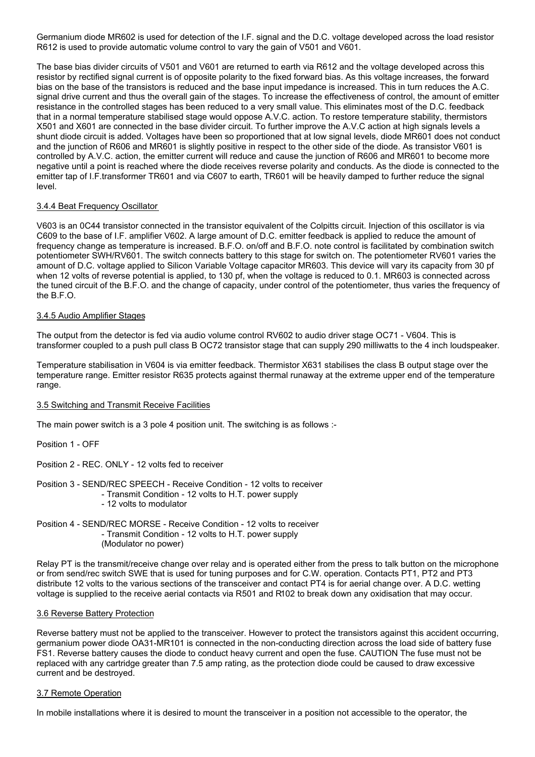Germanium diode MR602 is used for detection of the I.F. signal and the D.C. voltage developed across the load resistor R612 is used to provide automatic volume control to vary the gain of V501 and V601.

The base bias divider circuits of V501 and V601 are returned to earth via R612 and the voltage developed across this resistor by rectified signal current is of opposite polarity to the fixed forward bias. As this voltage increases, the forward bias on the base of the transistors is reduced and the base input impedance is increased. This in turn reduces the A.C. signal drive current and thus the overall gain of the stages. To increase the effectiveness of control, the amount of emitter resistance in the controlled stages has been reduced to a very small value. This eliminates most of the D.C. feedback that in a normal temperature stabilised stage would oppose A.V.C. action. To restore temperature stability, thermistors X501 and X601 are connected in the base divider circuit. To further improve the A.V.C action at high signals levels a shunt diode circuit is added. Voltages have been so proportioned that at low signal levels, diode MR601 does not conduct and the junction of R606 and MR601 is slightly positive in respect to the other side of the diode. As transistor V601 is controlled by A.V.C. action, the emitter current will reduce and cause the junction of R606 and MR601 to become more negative until a point is reached where the diode receives reverse polarity and conducts. As the diode is connected to the emitter tap of I.F.transformer TR601 and via C607 to earth, TR601 will be heavily damped to further reduce the signal level.

#### 3.4.4 Beat Frequency Oscillator

V603 is an 0C44 transistor connected in the transistor equivalent of the Colpitts circuit. Injection of this oscillator is via C609 to the base of I.F. amplifier V602. A large amount of D.C. emitter feedback is applied to reduce the amount of frequency change as temperature is increased. B.F.O. on/off and B.F.O. note control is facilitated by combination switch potentiometer SWH/RV601. The switch connects battery to this stage for switch on. The potentiometer RV601 varies the amount of D.C. voltage applied to Silicon Variable Voltage capacitor MR603. This device will vary its capacity from 30 pf when 12 volts of reverse potential is applied, to 130 pf, when the voltage is reduced to 0.1. MR603 is connected across the tuned circuit of the B.F.O. and the change of capacity, under control of the potentiometer, thus varies the frequency of the B.F.O.

#### 3.4.5 Audio Amplifier Stages

The output from the detector is fed via audio volume control RV602 to audio driver stage OC71 - V604. This is transformer coupled to a push pull class B OC72 transistor stage that can supply 290 milliwatts to the 4 inch loudspeaker.

Temperature stabilisation in V604 is via emitter feedback. Thermistor X631 stabilises the class B output stage over the temperature range. Emitter resistor R635 protects against thermal runaway at the extreme upper end of the temperature range.

#### 3.5 Switching and Transmit Receive Facilities

The main power switch is a 3 pole 4 position unit. The switching is as follows :-

Position 1 - OFF

Position 2 - REC. ONLY - 12 volts fed to receiver

- Position 3 SEND/REC SPEECH Receive Condition 12 volts to receiver - Transmit Condition - 12 volts to H.T. power supply - 12 volts to modulator
- Position 4 SEND/REC MORSE Receive Condition 12 volts to receiver - Transmit Condition - 12 volts to H.T. power supply (Modulator no power)

Relay PT is the transmit/receive change over relay and is operated either from the press to talk button on the microphone or from send/rec switch SWE that is used for tuning purposes and for C.W. operation. Contacts PT1, PT2 and PT3 distribute 12 volts to the various sections of the transceiver and contact PT4 is for aerial change over. A D.C. wetting voltage is supplied to the receive aerial contacts via R501 and R102 to break down any oxidisation that may occur.

#### 3.6 Reverse Battery Protection

Reverse battery must not be applied to the transceiver. However to protect the transistors against this accident occurring, germanium power diode OA31-MR101 is connected in the non-conducting direction across the load side of battery fuse FS1. Reverse battery causes the diode to conduct heavy current and open the fuse. CAUTION The fuse must not be replaced with any cartridge greater than 7.5 amp rating, as the protection diode could be caused to draw excessive current and be destroyed.

#### 3.7 Remote Operation

In mobile installations where it is desired to mount the transceiver in a position not accessible to the operator, the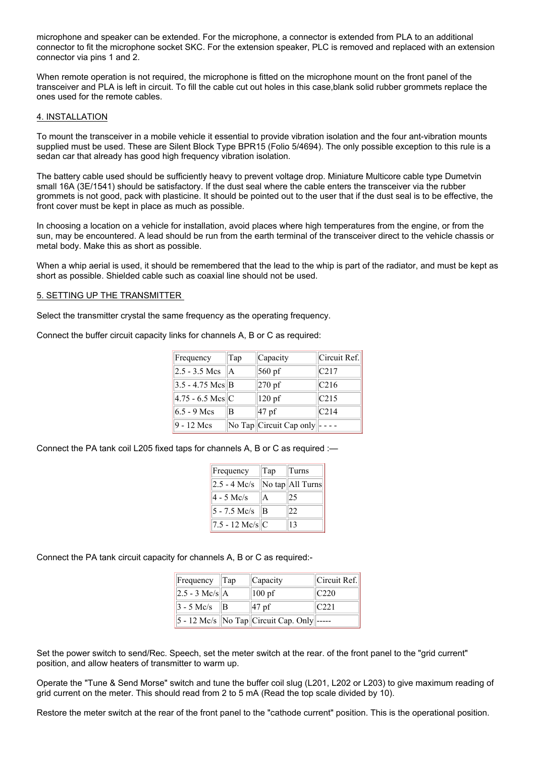microphone and speaker can be extended. For the microphone, a connector is extended from PLA to an additional connector to fit the microphone socket SKC. For the extension speaker, PLC is removed and replaced with an extension connector via pins 1 and 2.

When remote operation is not required, the microphone is fitted on the microphone mount on the front panel of the transceiver and PLA is left in circuit. To fill the cable cut out holes in this case,blank solid rubber grommets replace the ones used for the remote cables.

#### 4. INSTALLATION

To mount the transceiver in a mobile vehicle it essential to provide vibration isolation and the four ant-vibration mounts supplied must be used. These are Silent Block Type BPR15 (Folio 5/4694). The only possible exception to this rule is a sedan car that already has good high frequency vibration isolation.

The battery cable used should be sufficiently heavy to prevent voltage drop. Miniature Multicore cable type Dumetvin small 16A (3E/1541) should be satisfactory. If the dust seal where the cable enters the transceiver via the rubber grommets is not good, pack with plasticine. It should be pointed out to the user that if the dust seal is to be effective, the front cover must be kept in place as much as possible.

In choosing a location on a vehicle for installation, avoid places where high temperatures from the engine, or from the sun, may be encountered. A lead should be run from the earth terminal of the transceiver direct to the vehicle chassis or metal body. Make this as short as possible.

When a whip aerial is used, it should be remembered that the lead to the whip is part of the radiator, and must be kept as short as possible. Shielded cable such as coaxial line should not be used.

#### 5. SETTING UP THE TRANSMITTER

Select the transmitter crystal the same frequency as the operating frequency.

Connect the buffer circuit capacity links for channels A, B or C as required:

| Frequency                   | Tap | Capacity                | Circuit Ref.     |
|-----------------------------|-----|-------------------------|------------------|
| $2.5 - 3.5$ Mcs             | A   | 560 pf                  | C217             |
| $3.5 - 4.75$ Mcs B          |     | $270$ pf                | C <sub>216</sub> |
| $ 4.75 - 6.5 \text{ Mcs} C$ |     | $120$ pf                | C215             |
| $6.5 - 9$ Mcs               | В   | 47 <sub>pf</sub>        | C <sub>214</sub> |
| 9 - 12 Mcs                  |     | No Tap Circuit Cap only |                  |

Connect the PA tank coil L205 fixed taps for channels A, B or C as required :—

| Frequency         | Tap | $\vert$ Turns                    |
|-------------------|-----|----------------------------------|
| $2.5 - 4$ Mc/s    |     | No tap $\vert$ All Turns $\vert$ |
| $4 - 5$ Mc/s      | A   | 25                               |
| $5 - 7.5$ Mc/s    | R   | 22                               |
| $7.5 - 12$ Mc/s C |     | 13                               |

Connect the PA tank circuit capacity for channels A, B or C as required:-

| Frequency Tap              |   | Capacity                                                     | Circuit Ref.     |
|----------------------------|---|--------------------------------------------------------------|------------------|
| $ 2.5 - 3 \text{ Mc/s} $ A |   | $ 100 \text{ pf} $                                           | C <sub>220</sub> |
| $3 - 5$ Mc/s               | B | $ 47$ pf                                                     | C <sub>221</sub> |
|                            |   | $ 5 - 12 \text{ Me/s}  $ No Tap $ $ Circuit Cap. Only $ ---$ |                  |

Set the power switch to send/Rec. Speech, set the meter switch at the rear. of the front panel to the "grid current" position, and allow heaters of transmitter to warm up.

Operate the "Tune & Send Morse" switch and tune the buffer coil slug (L201, L202 or L203) to give maximum reading of grid current on the meter. This should read from 2 to 5 mA (Read the top scale divided by 10).

Restore the meter switch at the rear of the front panel to the "cathode current" position. This is the operational position.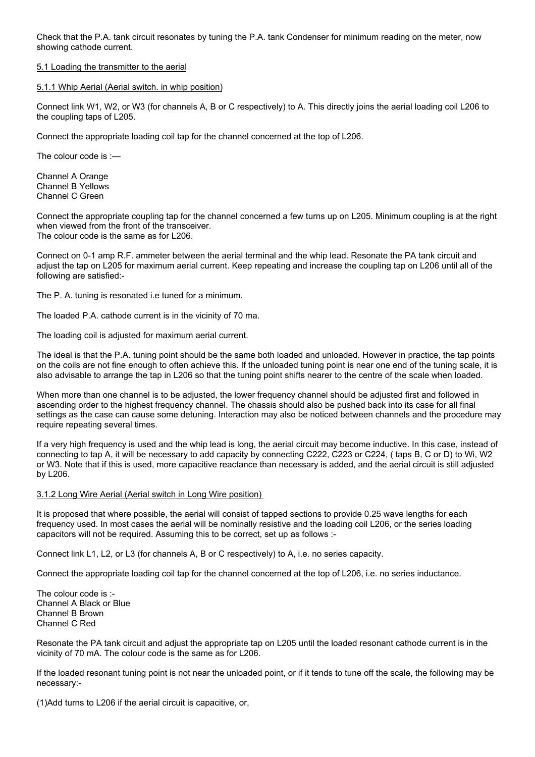Check that the P.A. tank circuit resonates by tuning the P.A. tank Condenser for minimum reading on the meter, now showing cathode current.

#### 5.1 Loading the transmitter to the aerial

#### 5.1.1 Whip Aerial (Aerial switch. in whip position)

Connect link W1, W2, or W3 (for channels A, B or C respectively) to A. This directly joins the aerial loading coil L206 to the coupling taps of L205.

Connect the appropriate loading coil tap for the channel concerned at the top of L206.

The colour code is :—

Channel A Orange Channel B Yellows Channel C Green

Connect the appropriate coupling tap for the channel concerned a few turns up on L205. Minimum coupling is at the right when viewed from the front of the transceiver. The colour code is the same as for L206.

Connect on 0-1 amp R.F. ammeter between the aerial terminal and the whip lead. Resonate the PA tank circuit and adjust the tap on L205 for maximum aerial current. Keep repeating and increase the coupling tap on L206 until all of the following are satisfied:-

The P. A. tuning is resonated i.e tuned for a minimum.

The loaded P.A. cathode current is in the vicinity of 70 ma.

The loading coil is adjusted for maximum aerial current.

The ideal is that the P.A. tuning point should be the same both loaded and unloaded. However in practice, the tap points on the coils are not fine enough to often achieve this. If the unloaded tuning point is near one end of the tuning scale, it is also advisable to arrange the tap in L206 so that the tuning point shifts nearer to the centre of the scale when loaded.

When more than one channel is to be adjusted, the lower frequency channel should be adjusted first and followed in ascending order to the highest frequency channel. The chassis should also be pushed back into its case for all final settings as the case can cause some detuning. Interaction may also be noticed between channels and the procedure may require repeating several times.

If a very high frequency is used and the whip lead is long, the aerial circuit may become inductive. In this case, instead of connecting to tap A, it will be necessary to add capacity by connecting C222, C223 or C224, ( taps B, C or D) to Wi, W2 or W3. Note that if this is used, more capacitive reactance than necessary is added, and the aerial circuit is still adjusted by L206.

#### 3.1.2 Long Wire Aerial (Aerial switch in Long Wire position)

It is proposed that where possible, the aerial will consist of tapped sections to provide 0.25 wave lengths for each frequency used. In most cases the aerial will be nominally resistive and the loading coil L206, or the series loading capacitors will not be required. Assuming this to be correct, set up as follows :-

Connect link L1, L2, or L3 (for channels A, B or C respectively) to A, i.e. no series capacity.

Connect the appropriate loading coil tap for the channel concerned at the top of L206, i.e. no series inductance.

The colour code is :- Channel A Black or Blue Channel B Brown Channel C Red

Resonate the PA tank circuit and adjust the appropriate tap on L205 until the loaded resonant cathode current is in the vicinity of 70 mA. The colour code is the same as for L206.

If the loaded resonant tuning point is not near the unloaded point, or if it tends to tune off the scale, the following may be necessary:-

(1)Add turns to L206 if the aerial circuit is capacitive, or,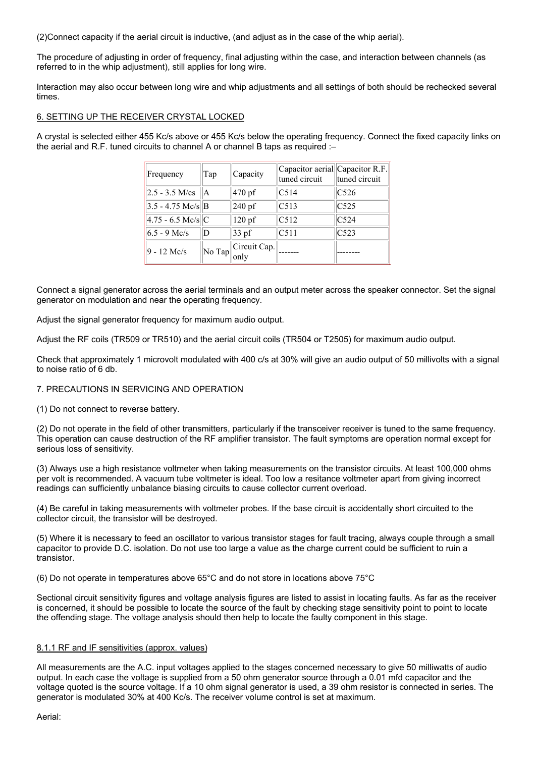(2)Connect capacity if the aerial circuit is inductive, (and adjust as in the case of the whip aerial).

The procedure of adjusting in order of frequency, final adjusting within the case, and interaction between channels (as referred to in the whip adjustment), still applies for long wire.

Interaction may also occur between long wire and whip adjustments and all settings of both should be rechecked several times.

#### 6. SETTING UP THE RECEIVER CRYSTAL LOCKED

A crystal is selected either 455 Kc/s above or 455 Kc/s below the operating frequency. Connect the fixed capacity links on the aerial and R.F. tuned circuits to channel A or channel B taps as required :–

| Frequency                | Tap | Capacity                              | Capacitor aerial Capacitor R.F.<br>tuned circuit | tuned circuit    |
|--------------------------|-----|---------------------------------------|--------------------------------------------------|------------------|
| $2.5 - 3.5$ M/cs $  A  $ |     | 470 pf                                | C514                                             | C <sub>526</sub> |
| $3.5 - 4.75$ Mc/s B      |     | $240$ pf                              | C513                                             | C <sub>525</sub> |
| $4.75 - 6.5$ Mc/s C      |     | $120$ pf                              | C <sub>512</sub>                                 | C <sub>524</sub> |
| $6.5 - 9$ Mc/s           | D   | $33$ pf                               | C <sub>511</sub>                                 | C523             |
| $9 - 12$ Mc/s            |     | $\ N$ o Tap $\ $ Circuit Cap.<br>only |                                                  |                  |

Connect a signal generator across the aerial terminals and an output meter across the speaker connector. Set the signal generator on modulation and near the operating frequency.

Adjust the signal generator frequency for maximum audio output.

Adjust the RF coils (TR509 or TR510) and the aerial circuit coils (TR504 or T2505) for maximum audio output.

Check that approximately 1 microvolt modulated with 400 c/s at 30% will give an audio output of 50 millivolts with a signal to noise ratio of 6 db.

## 7. PRECAUTIONS IN SERVICING AND OPERATION

(1) Do not connect to reverse battery.

(2) Do not operate in the field of other transmitters, particularly if the transceiver receiver is tuned to the same frequency. This operation can cause destruction of the RF amplifier transistor. The fault symptoms are operation normal except for serious loss of sensitivity.

(3) Always use a high resistance voltmeter when taking measurements on the transistor circuits. At least 100,000 ohms per volt is recommended. A vacuum tube voltmeter is ideal. Too low a resitance voltmeter apart from giving incorrect readings can sufficiently unbalance biasing circuits to cause collector current overload.

(4) Be careful in taking measurements with voltmeter probes. If the base circuit is accidentally short circuited to the collector circuit, the transistor will be destroyed.

(5) Where it is necessary to feed an oscillator to various transistor stages for fault tracing, always couple through a small capacitor to provide D.C. isolation. Do not use too large a value as the charge current could be sufficient to ruin a transistor.

(6) Do not operate in temperatures above 65°C and do not store in locations above 75°C

Sectional circuit sensitivity figures and voltage analysis figures are listed to assist in locating faults. As far as the receiver is concerned, it should be possible to locate the source of the fault by checking stage sensitivity point to point to locate the offending stage. The voltage analysis should then help to locate the faulty component in this stage.

#### 8.1.1 RF and IF sensitivities (approx. values)

All measurements are the A.C. input voltages applied to the stages concerned necessary to give 50 milliwatts of audio output. In each case the voltage is supplied from a 50 ohm generator source through a 0.01 mfd capacitor and the voltage quoted is the source voltage. If a 10 ohm signal generator is used, a 39 ohm resistor is connected in series. The generator is modulated 30% at 400 Kc/s. The receiver volume control is set at maximum.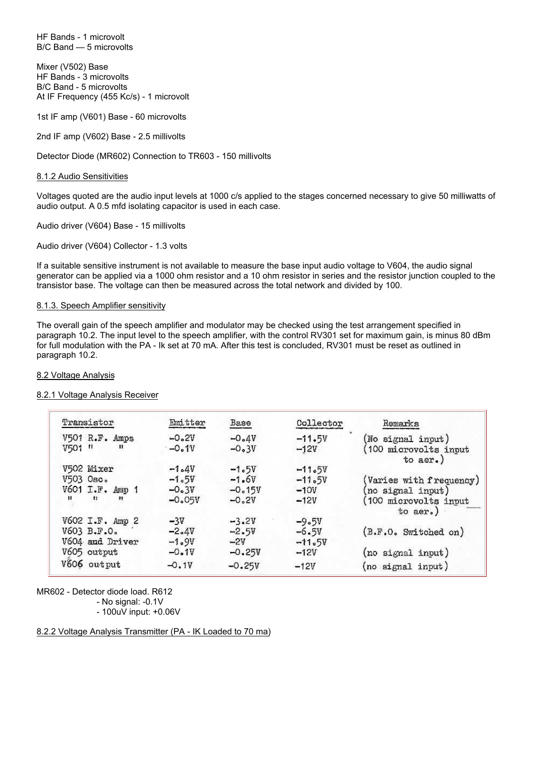HF Bands - 1 microvolt B/C Band — 5 microvolts

Mixer (V502) Base HF Bands - 3 microvolts B/C Band - 5 microvolts At IF Frequency (455 Kc/s) - 1 microvolt

1st IF amp (V601) Base - 60 microvolts

2nd IF amp (V602) Base - 2.5 millivolts

Detector Diode (MR602) Connection to TR603 - 150 millivolts

#### 8.1.2 Audio Sensitivities

Voltages quoted are the audio input levels at 1000 c/s applied to the stages concerned necessary to give 50 milliwatts of audio output. A 0.5 mfd isolating capacitor is used in each case.

Audio driver (V604) Base - 15 millivolts

Audio driver (V604) Collector - 1.3 volts

If a suitable sensitive instrument is not available to measure the base input audio voltage to V604, the audio signal generator can be applied via a 1000 ohm resistor and a 10 ohm resistor in series and the resistor junction coupled to the transistor base. The voltage can then be measured across the total network and divided by 100.

#### 8.1.3. Speech Amplifier sensitivity

The overall gain of the speech amplifier and modulator may be checked using the test arrangement specified in paragraph 10.2. The input level to the speech amplifier, with the control RV301 set for maximum gain, is minus 80 dBm for full modulation with the PA - Ik set at 70 mA. After this test is concluded, RV301 must be reset as outlined in paragraph 10.2.

#### 8.2 Voltage Analysis

#### 8.2.1 Voltage Analysis Receiver

| Transistor<br>Emitter<br>Collector<br><b>Base</b><br>Remarks<br>V501 R.F. Amps<br>$-0.2V$<br>$-0.4V$<br>$-11.5V$<br>(No signal input)<br>V501 tl<br>$\mathbf{u}$<br>$-0.1V$<br>$-0.3V$<br>$-12V$<br>(100 microvolts input<br>to $aer.$ )<br>V502 Mixer<br>$-1.4V$<br>$-1.5V$<br>$-11.5V$<br>V503 Osc.<br>$-1.6v$<br>$-1.5V$<br>$-11.5V$<br>(Varies with frequency)<br>V601 I.F. Amp 1<br>$-0.3V$<br>$-0.15V$<br>$-10V$<br>no signal input)<br>$+1$<br>$\mathbf{u}$<br>$-0.05V$<br>$-0.2V$<br>$-12V$<br>(100 microvolts input<br>to $aer.$ )<br>V602 I.F. Amp 2<br>$-3V$<br>$-3.2V$<br>$-9.5V$<br>V603 B.F.O.<br>(B.F.O. Switched on)<br>$-6.5V$<br>$-2.4V$<br>$-2.5V$<br>V604 and Driver<br>$-2V$<br>$-1.9V$<br>$-11.5V$<br>V605 output<br>$-0.25V$<br>$-0.1V$<br>(no signal input)<br>$-12V$<br>V606 output<br>$-0.1V$<br>$-0.25V$<br>$-12V$<br>(no signal input) |  |  |  |
|--------------------------------------------------------------------------------------------------------------------------------------------------------------------------------------------------------------------------------------------------------------------------------------------------------------------------------------------------------------------------------------------------------------------------------------------------------------------------------------------------------------------------------------------------------------------------------------------------------------------------------------------------------------------------------------------------------------------------------------------------------------------------------------------------------------------------------------------------------------------|--|--|--|
|                                                                                                                                                                                                                                                                                                                                                                                                                                                                                                                                                                                                                                                                                                                                                                                                                                                                    |  |  |  |
|                                                                                                                                                                                                                                                                                                                                                                                                                                                                                                                                                                                                                                                                                                                                                                                                                                                                    |  |  |  |
|                                                                                                                                                                                                                                                                                                                                                                                                                                                                                                                                                                                                                                                                                                                                                                                                                                                                    |  |  |  |
|                                                                                                                                                                                                                                                                                                                                                                                                                                                                                                                                                                                                                                                                                                                                                                                                                                                                    |  |  |  |
|                                                                                                                                                                                                                                                                                                                                                                                                                                                                                                                                                                                                                                                                                                                                                                                                                                                                    |  |  |  |
|                                                                                                                                                                                                                                                                                                                                                                                                                                                                                                                                                                                                                                                                                                                                                                                                                                                                    |  |  |  |
|                                                                                                                                                                                                                                                                                                                                                                                                                                                                                                                                                                                                                                                                                                                                                                                                                                                                    |  |  |  |
|                                                                                                                                                                                                                                                                                                                                                                                                                                                                                                                                                                                                                                                                                                                                                                                                                                                                    |  |  |  |
|                                                                                                                                                                                                                                                                                                                                                                                                                                                                                                                                                                                                                                                                                                                                                                                                                                                                    |  |  |  |
|                                                                                                                                                                                                                                                                                                                                                                                                                                                                                                                                                                                                                                                                                                                                                                                                                                                                    |  |  |  |
|                                                                                                                                                                                                                                                                                                                                                                                                                                                                                                                                                                                                                                                                                                                                                                                                                                                                    |  |  |  |
|                                                                                                                                                                                                                                                                                                                                                                                                                                                                                                                                                                                                                                                                                                                                                                                                                                                                    |  |  |  |

MR602 - Detector diode load. R612 - No signal: -0.1V - 100uV input: +0.06V

#### 8.2.2 Voltage Analysis Transmitter (PA - IK Loaded to 70 ma)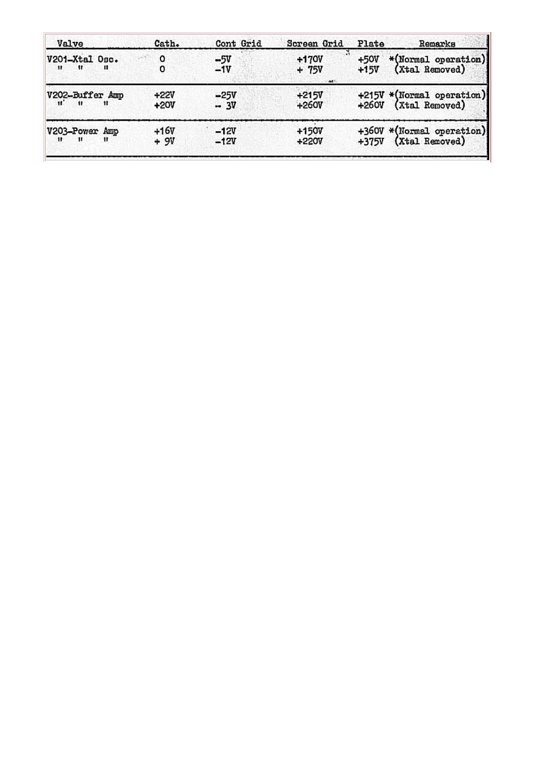| Valve                                                                | Cath.           | Cont Grid        | Screen Grid        | Plate            | Remarks                                           |
|----------------------------------------------------------------------|-----------------|------------------|--------------------|------------------|---------------------------------------------------|
| V201-Xtal Osc.<br>n<br>$^{\prime\prime}$<br>$\mathbf{u}$             | 0<br>0          | $-5V$<br>$-1V$   | $+170V$<br>$+ 75V$ | $+50V$<br>$+15V$ | *(Normal operation)<br>(Xtal Removed)             |
| V202-Buffer Amp<br>$\mathbf{u}^*$<br>$^{\prime\prime}$<br>$^{\rm H}$ | $+22V$<br>+20V  | $-25V$<br>$-3V$  | $+215V$<br>$+260V$ |                  | +215V *(Normal operation)<br>+260V (Xtal Removed) |
| V203-Power Amp<br>11.<br>Ħ                                           | $+16V$<br>$+9V$ | $-12V$<br>$-12V$ | +150V<br>+220V     | $+375V$          | +360V *(Normal operation)<br>(Xtal Removed)       |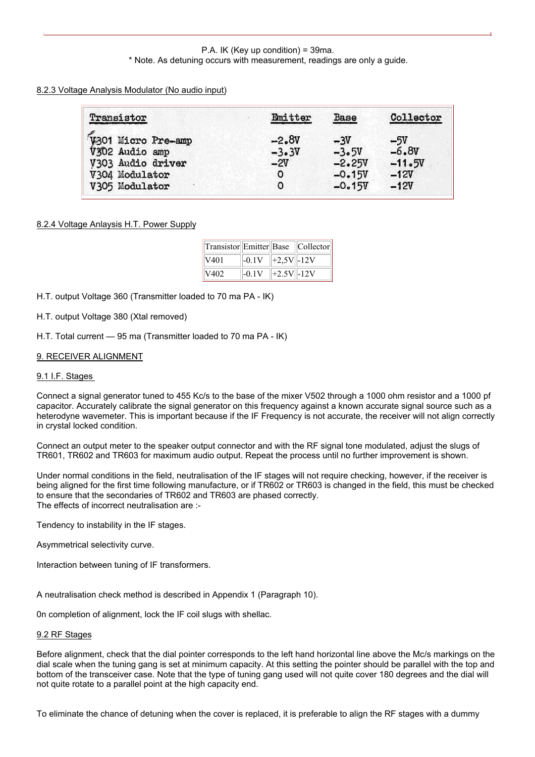#### P.A. IK (Key up condition) = 39ma. \* Note. As detuning occurs with measurement, readings are only a guide.

## 8.2.3 Voltage Analysis Modulator (No audio input)

| Transistor                           | Emitter            | <b>Base</b>      | Collector        |
|--------------------------------------|--------------------|------------------|------------------|
| V301 Micro Pre-amp<br>V302 Audio amp | $-2.8V$<br>$-3.3V$ | $-3V$<br>$-3.5V$ | $-5V$<br>$-6.8V$ |
| V303 Audio driver                    | $-2V$              | $-2.25V$         | $-11.5V$         |
| V304 Modulator                       | ٥                  | $-0.15V$         | $-12V$           |
| V305 Modulator                       | 0                  | $-0.15V$         | $-12V$           |

## 8.2.4 Voltage Anlaysis H.T. Power Supply

| Transistor Emitter Base Collector |         |                 |  |
|-----------------------------------|---------|-----------------|--|
| V401                              | $-0.1V$ | $  +2,5V  -12V$ |  |
| V402                              | $-0.1V$ | $  +2.5V  -12V$ |  |

H.T. output Voltage 360 (Transmitter loaded to 70 ma PA - IK)

H.T. output Voltage 380 (Xtal removed)

H.T. Total current — 95 ma (Transmitter loaded to 70 ma PA - IK)

## 9. RECEIVER ALIGNMENT

#### 9.1 I.F. Stages

Connect a signal generator tuned to 455 Kc/s to the base of the mixer V502 through a 1000 ohm resistor and a 1000 pf capacitor. Accurately calibrate the signal generator on this frequency against a known accurate signal source such as a heterodyne wavemeter. This is important because if the IF Frequency is not accurate, the receiver will not align correctly in crystal locked condition.

Connect an output meter to the speaker output connector and with the RF signal tone modulated, adjust the slugs of TR601, TR602 and TR603 for maximum audio output. Repeat the process until no further improvement is shown.

Under normal conditions in the field, neutralisation of the IF stages will not require checking, however, if the receiver is being aligned for the first time following manufacture, or if TR602 or TR603 is changed in the field, this must be checked to ensure that the secondaries of TR602 and TR603 are phased correctly. The effects of incorrect neutralisation are :-

Tendency to instability in the IF stages.

Asymmetrical selectivity curve.

Interaction between tuning of IF transformers.

A neutralisation check method is described in Appendix 1 (Paragraph 10).

0n completion of alignment, lock the IF coil slugs with shellac.

## 9.2 RF Stages

Before alignment, check that the dial pointer corresponds to the left hand horizontal line above the Mc/s markings on the dial scale when the tuning gang is set at minimum capacity. At this setting the pointer should be parallel with the top and bottom of the transceiver case. Note that the type of tuning gang used will not quite cover 180 degrees and the dial will not quite rotate to a parallel point at the high capacity end.

To eliminate the chance of detuning when the cover is replaced, it is preferable to align the RF stages with a dummy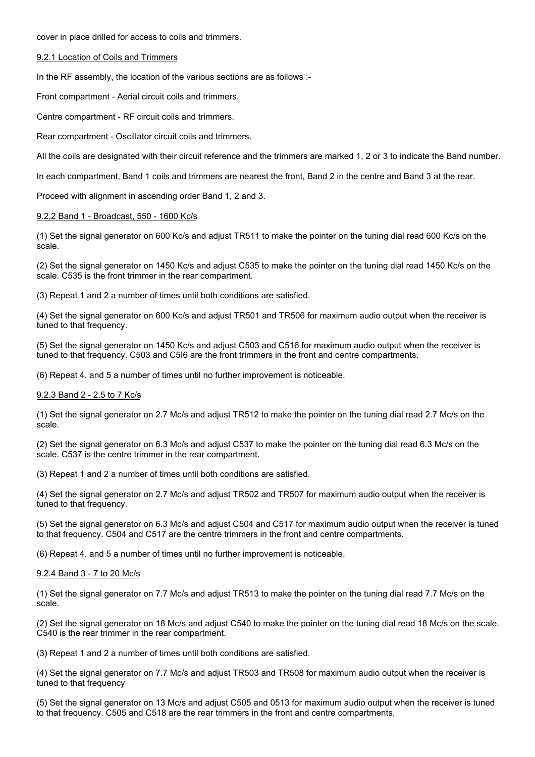cover in place drilled for access to coils and trimmers.

#### 9.2.1 Location of Coils and Trimmers

In the RF assembly, the location of the various sections are as follows :-

Front compartment - Aerial circuit coils and trimmers.

Centre compartment - RF circuit coils and trimmers.

Rear compartment - Oscillator circuit coils and trimmers.

All the coils are designated with their circuit reference and the trimmers are marked 1, 2 or 3 to indicate the Band number.

In each compartment, Band 1 coils and trimmers are nearest the front, Band 2 in the centre and Band 3 at the rear.

Proceed with alignment in ascending order Band 1, 2 and 3.

#### 9.2.2 Band 1 - Broadcast, 550 - 1600 Kc/s

(1) Set the signal generator on 600 Kc/s and adjust TR511 to make the pointer on the tuning dial read 600 Kc/s on the scale.

(2) Set the signal generator on 1450 Kc/s and adjust C535 to make the pointer on the tuning dial read 1450 Kc/s on the scale. C535 is the front trimmer in the rear compartment.

(3) Repeat 1 and 2 a number of times until both conditions are satisfied.

(4) Set the signal generator on 600 Kc/s and adjust TR501 and TR506 for maximum audio output when the receiver is tuned to that frequency.

(5) Set the signal generator on 1450 Kc/s and adjust C503 and C516 for maximum audio output when the receiver is tuned to that frequency. C503 and C5I6 are the front trimmers in the front and centre compartments.

(6) Repeat 4. and 5 a number of times until no further improvement is noticeable.

#### 9.2.3 Band 2 - 2.5 to 7 Kc/s

(1) Set the signal generator on 2.7 Mc/s and adjust TR512 to make the pointer on the tuning dial read 2.7 Mc/s on the scale.

(2) Set the signal generator on 6.3 Mc/s and adjust C537 to make the pointer on the tuning dial read 6.3 Mc/s on the scale. C537 is the centre trimmer in the rear compartment.

(3) Repeat 1 and 2 a number of times until both conditions are satisfied.

(4) Set the signal generator on 2.7 Mc/s and adjust TR502 and TR507 for maximum audio output when the receiver is tuned to that frequency.

(5) Set the signal generator on 6.3 Mc/s and adjust C504 and C517 for maximum audio output when the receiver is tuned to that frequency. C504 and C517 are the centre trimmers in the front and centre compartments.

(6) Repeat 4. and 5 a number of times until no further improvement is noticeable.

#### 9.2.4 Band 3 - 7 to 20 Mc/s

(1) Set the signal generator on 7.7 Mc/s and adjust TR513 to make the pointer on the tuning dial read 7.7 Mc/s on the scale.

(2) Set the signal generator on 18 Mc/s and adjust C540 to make the pointer on the tuning dial read 18 Mc/s on the scale. C540 is the rear trimmer in the rear compartment.

(3) Repeat 1 and 2 a number of times until both conditions are satisfied.

(4) Set the signal generator on 7.7 Mc/s and adjust TR503 and TR508 for maximum audio output when the receiver is tuned to that frequency

(5) Set the signal generator on 13 Mc/s and adjust C505 and 0513 for maximum audio output when the receiver is tuned to that frequency. C505 and C518 are the rear trimmers in the front and centre compartments.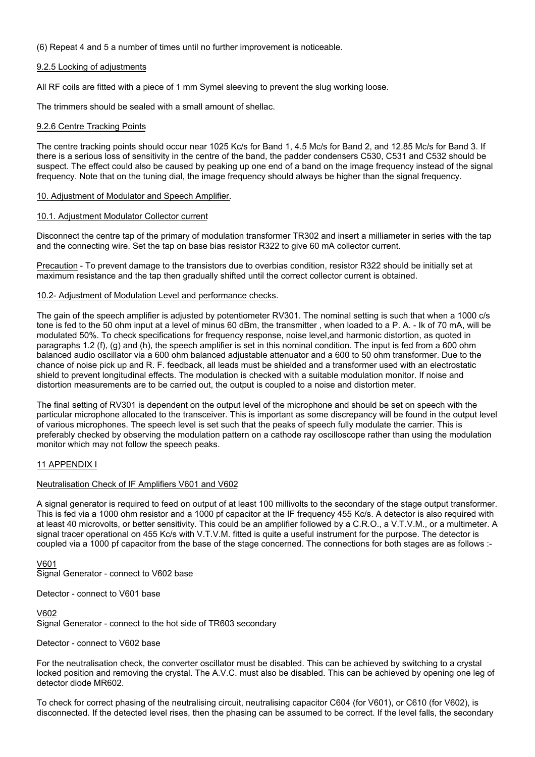(6) Repeat 4 and 5 a number of times until no further improvement is noticeable.

#### 9.2.5 Locking of adjustments

All RF coils are fitted with a piece of 1 mm Symel sleeving to prevent the slug working loose.

The trimmers should be sealed with a small amount of shellac.

#### 9.2.6 Centre Tracking Points

The centre tracking points should occur near 1025 Kc/s for Band 1, 4.5 Mc/s for Band 2, and 12.85 Mc/s for Band 3. If there is a serious loss of sensitivity in the centre of the band, the padder condensers C530, C531 and C532 should be suspect. The effect could also be caused by peaking up one end of a band on the image frequency instead of the signal frequency. Note that on the tuning dial, the image frequency should always be higher than the signal frequency.

#### 10. Adjustment of Modulator and Speech Amplifier.

#### 10.1. Adjustment Modulator Collector current

Disconnect the centre tap of the primary of modulation transformer TR302 and insert a milliameter in series with the tap and the connecting wire. Set the tap on base bias resistor R322 to give 60 mA collector current.

Precaution - To prevent damage to the transistors due to overbias condition, resistor R322 should be initially set at maximum resistance and the tap then gradually shifted until the correct collector current is obtained.

#### 10.2- Adjustment of Modulation Level and performance checks.

The gain of the speech amplifier is adjusted by potentiometer RV301. The nominal setting is such that when a 1000 c/s tone is fed to the 50 ohm input at a level of minus 60 dBm, the transmitter , when loaded to a P. A. - Ik of 70 mA, will be modulated 50%. To check specifications for frequency response, noise level,and harmonic distortion, as quoted in paragraphs 1.2 (f), (g) and (h), the speech amplifier is set in this nominal condition. The input is fed from a 600 ohm balanced audio oscillator via a 600 ohm balanced adjustable attenuator and a 600 to 50 ohm transformer. Due to the chance of noise pick up and R. F. feedback, all leads must be shielded and a transformer used with an electrostatic shield to prevent longitudinal effects. The modulation is checked with a suitable modulation monitor. If noise and distortion measurements are to be carried out, the output is coupled to a noise and distortion meter.

The final setting of RV301 is dependent on the output level of the microphone and should be set on speech with the particular microphone allocated to the transceiver. This is important as some discrepancy will be found in the output level of various microphones. The speech level is set such that the peaks of speech fully modulate the carrier. This is preferably checked by observing the modulation pattern on a cathode ray oscilloscope rather than using the modulation monitor which may not follow the speech peaks.

#### 11 APPENDIX I

#### Neutralisation Check of IF Amplifiers V601 and V602

A signal generator is required to feed on output of at least 100 millivolts to the secondary of the stage output transformer. This is fed via a 1000 ohm resistor and a 1000 pf capacitor at the IF frequency 455 Kc/s. A detector is also required with at least 40 microvolts, or better sensitivity. This could be an amplifier followed by a C.R.O., a V.T.V.M., or a multimeter. A signal tracer operational on 455 Kc/s with V.T.V.M. fitted is quite a useful instrument for the purpose. The detector is coupled via a 1000 pf capacitor from the base of the stage concerned. The connections for both stages are as follows :-

#### V601 Signal Generator - connect to V602 base

Detector - connect to V601 base

V602 Signal Generator - connect to the hot side of TR603 secondary

#### Detector - connect to V602 base

For the neutralisation check, the converter oscillator must be disabled. This can be achieved by switching to a crystal locked position and removing the crystal. The A.V.C. must also be disabled. This can be achieved by opening one leg of detector diode MR602.

To check for correct phasing of the neutralising circuit, neutralising capacitor C604 (for V601), or C610 (for V602), is disconnected. If the detected level rises, then the phasing can be assumed to be correct. If the level falls, the secondary